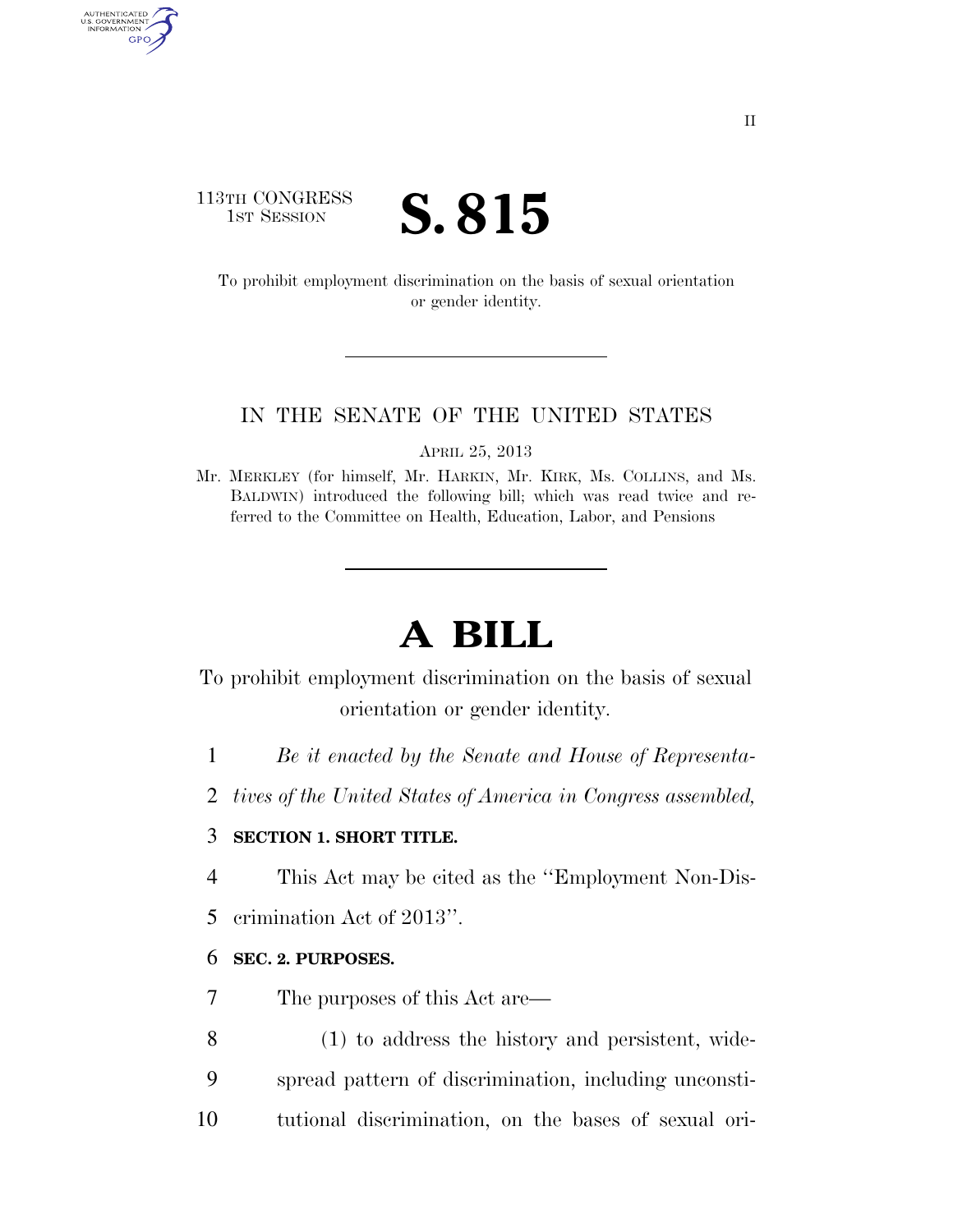# 113TH CONGRESS **IST SESSION S. 815**

AUTHENTICATED<br>U.S. GOVERNMENT<br>INFORMATION GPO

> To prohibit employment discrimination on the basis of sexual orientation or gender identity.

#### IN THE SENATE OF THE UNITED STATES

APRIL 25, 2013

Mr. MERKLEY (for himself, Mr. HARKIN, Mr. KIRK, Ms. COLLINS, and Ms. BALDWIN) introduced the following bill; which was read twice and referred to the Committee on Health, Education, Labor, and Pensions

# **A BILL**

To prohibit employment discrimination on the basis of sexual orientation or gender identity.

- 1 *Be it enacted by the Senate and House of Representa-*
- 2 *tives of the United States of America in Congress assembled,*

# 3 **SECTION 1. SHORT TITLE.**

- 4 This Act may be cited as the ''Employment Non-Dis-
- 5 crimination Act of 2013''.

# 6 **SEC. 2. PURPOSES.**

- 7 The purposes of this Act are—
- 8 (1) to address the history and persistent, wide-
- 9 spread pattern of discrimination, including unconsti-
- 10 tutional discrimination, on the bases of sexual ori-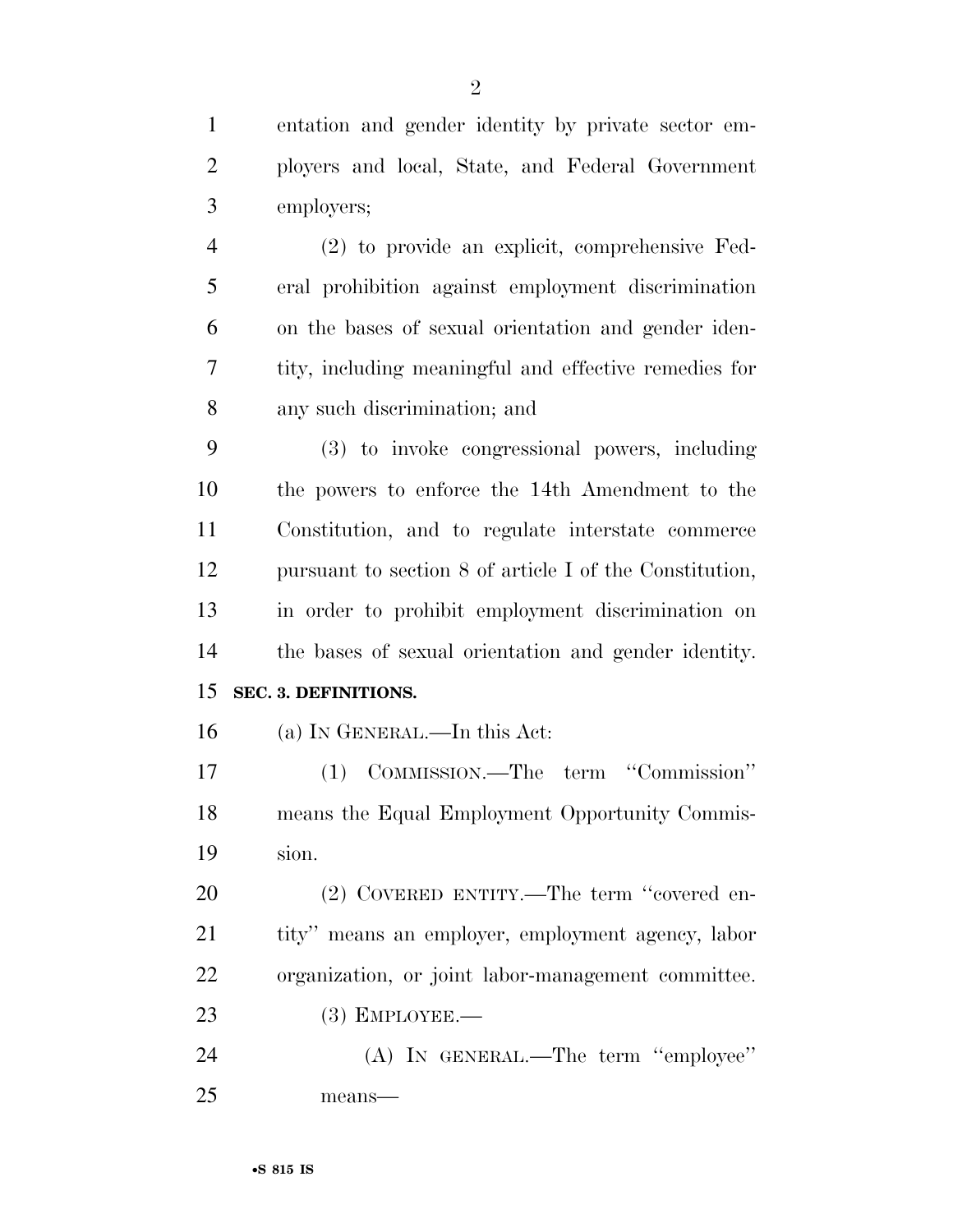entation and gender identity by private sector em- ployers and local, State, and Federal Government employers; (2) to provide an explicit, comprehensive Fed-eral prohibition against employment discrimination

 on the bases of sexual orientation and gender iden- tity, including meaningful and effective remedies for any such discrimination; and

 (3) to invoke congressional powers, including the powers to enforce the 14th Amendment to the Constitution, and to regulate interstate commerce pursuant to section 8 of article I of the Constitution, in order to prohibit employment discrimination on the bases of sexual orientation and gender identity.

# **SEC. 3. DEFINITIONS.**

(a) IN GENERAL.—In this Act:

 (1) COMMISSION.—The term ''Commission'' means the Equal Employment Opportunity Commis-sion.

20 (2) COVERED ENTITY.—The term "covered en- tity'' means an employer, employment agency, labor organization, or joint labor-management committee.

(3) EMPLOYEE.—

 (A) IN GENERAL.—The term ''employee'' means—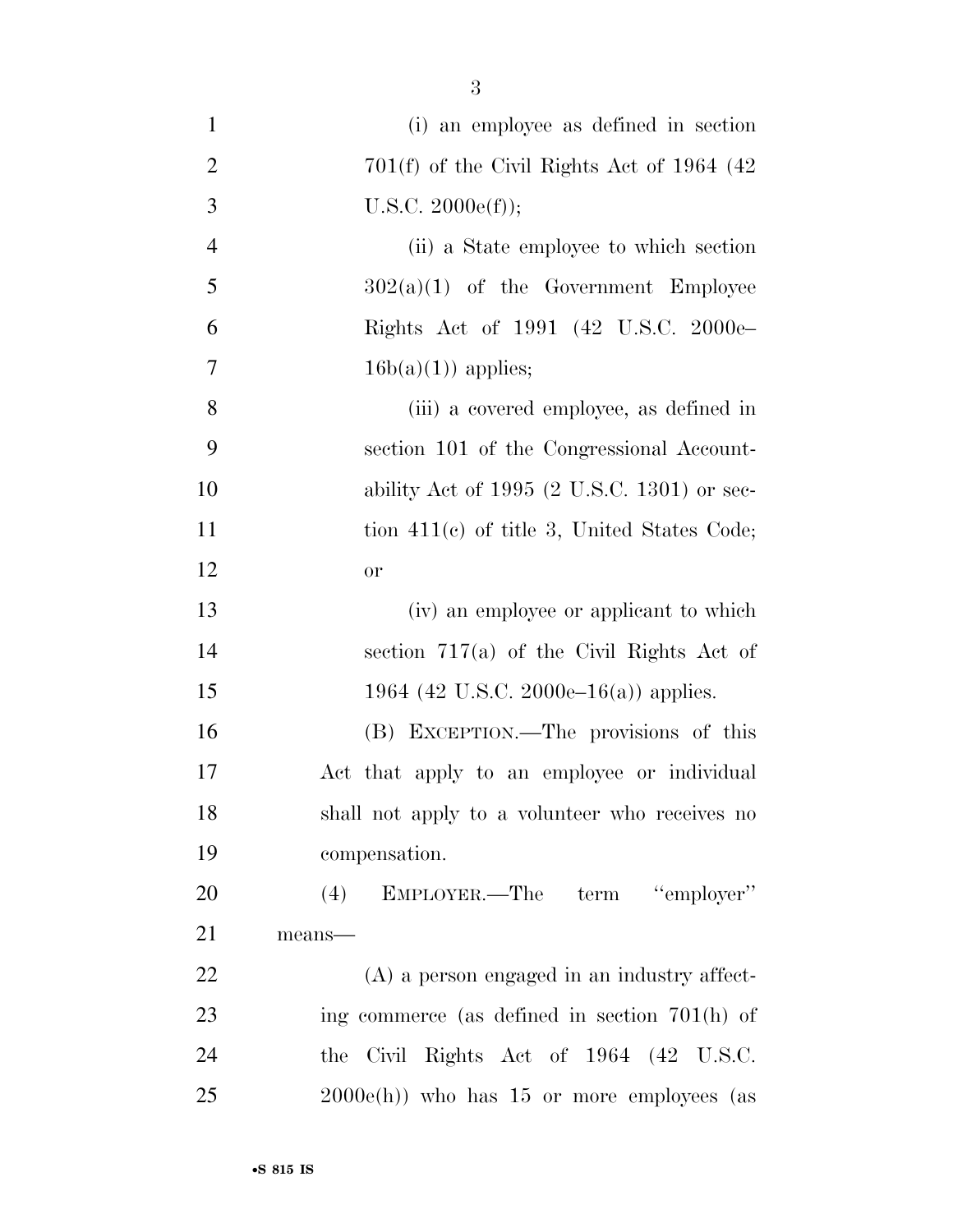| $\mathbf{1}$   | (i) an employee as defined in section                  |
|----------------|--------------------------------------------------------|
| $\overline{2}$ | $701(f)$ of the Civil Rights Act of 1964 (42)          |
| 3              | U.S.C. 2000e(f));                                      |
| $\overline{4}$ | (ii) a State employee to which section                 |
| 5              | $302(a)(1)$ of the Government Employee                 |
| 6              | Rights Act of 1991 (42 U.S.C. 2000e-                   |
| $\overline{7}$ | $16b(a)(1)$ applies;                                   |
| 8              | (iii) a covered employee, as defined in                |
| 9              | section 101 of the Congressional Account-              |
| 10             | ability Act of 1995 $(2 \text{ U.S.C. } 1301)$ or sec- |
| 11             | tion $411(e)$ of title 3, United States Code;          |
| 12             | <b>or</b>                                              |
| 13             | (iv) an employee or applicant to which                 |
| 14             | section $717(a)$ of the Civil Rights Act of            |
| 15             | 1964 (42 U.S.C. 2000e–16(a)) applies.                  |
| 16             | (B) EXCEPTION.—The provisions of this                  |
| 17             | Act that apply to an employee or individual            |
| 18             | shall not apply to a volunteer who receives no         |
| 19             | compensation.                                          |
| 20             | (4) EMPLOYER.—The term "employer"                      |
| 21             | means-                                                 |
| 22             | $(A)$ a person engaged in an industry affect-          |
| 23             | ing commerce (as defined in section $701(h)$ of        |
| 24             | Civil Rights Act of 1964 (42 U.S.C.<br>the             |
| 25             | $2000e(h)$ who has 15 or more employees (as            |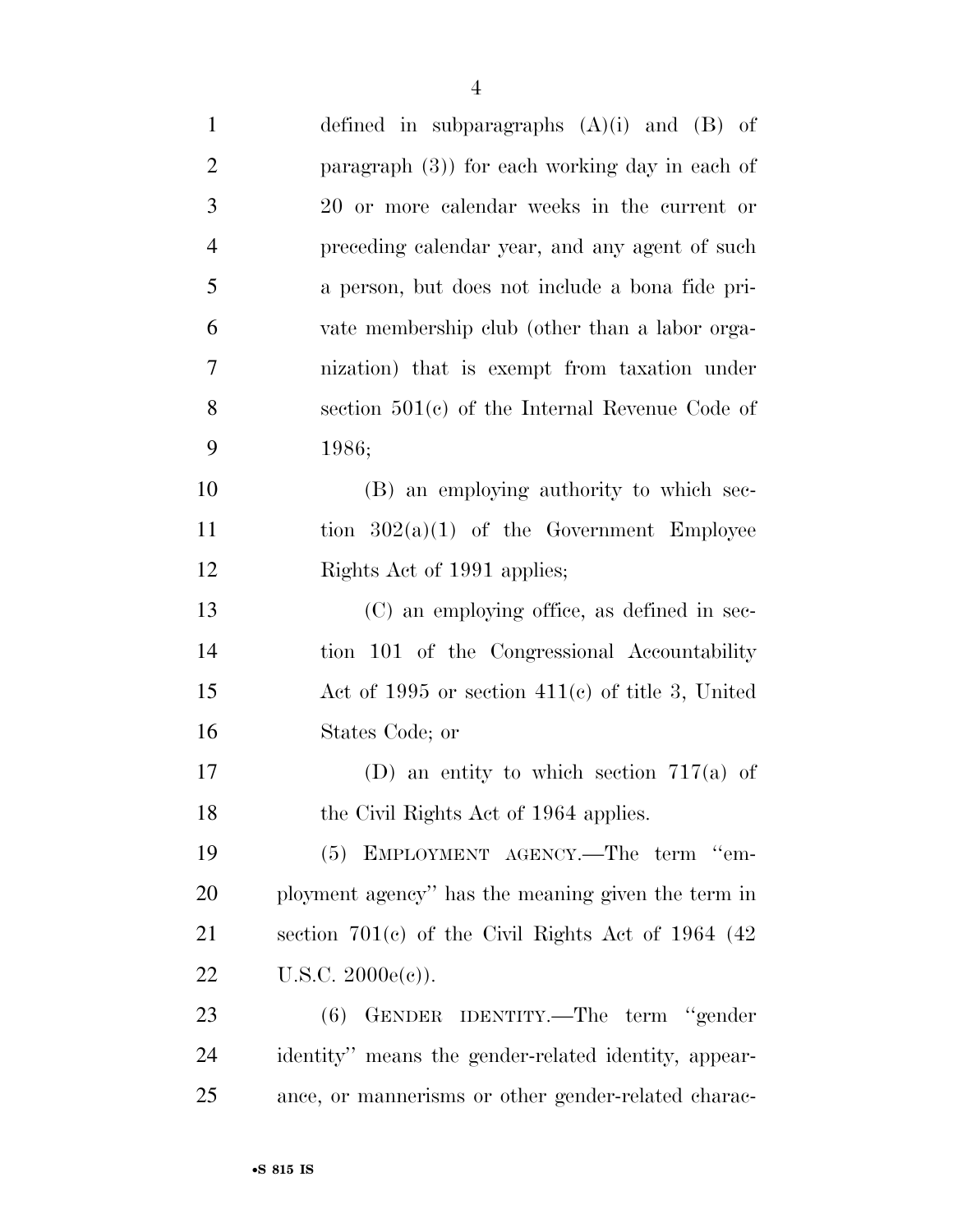| $\mathbf{1}$   | defined in subparagraphs $(A)(i)$ and $(B)$ of        |
|----------------|-------------------------------------------------------|
| $\overline{2}$ | paragraph $(3)$ ) for each working day in each of     |
| 3              | 20 or more calendar weeks in the current or           |
| $\overline{4}$ | preceding calendar year, and any agent of such        |
| 5              | a person, but does not include a bona fide pri-       |
| 6              | vate membership club (other than a labor orga-        |
| 7              | nization) that is exempt from taxation under          |
| 8              | section $501(c)$ of the Internal Revenue Code of      |
| 9              | 1986;                                                 |
| 10             | (B) an employing authority to which sec-              |
| 11             | tion $302(a)(1)$ of the Government Employee           |
| 12             | Rights Act of 1991 applies;                           |
| 13             | (C) an employing office, as defined in sec-           |
| 14             | tion 101 of the Congressional Accountability          |
| 15             | Act of 1995 or section $411(c)$ of title 3, United    |
| 16             | States Code; or                                       |
| 17             | (D) an entity to which section $717(a)$ of            |
| 18             | the Civil Rights Act of 1964 applies.                 |
| 19             | (5) EMPLOYMENT AGENCY.—The term "em-                  |
| 20             | ployment agency" has the meaning given the term in    |
| 21             | section $701(c)$ of the Civil Rights Act of 1964 (42) |
| 22             | $U.S.C. 2000e(e)$ ).                                  |
| 23             | GENDER IDENTITY.—The term "gender<br>(6)              |
| 24             | identity" means the gender-related identity, appear-  |
| 25             | ance, or mannerisms or other gender-related charac-   |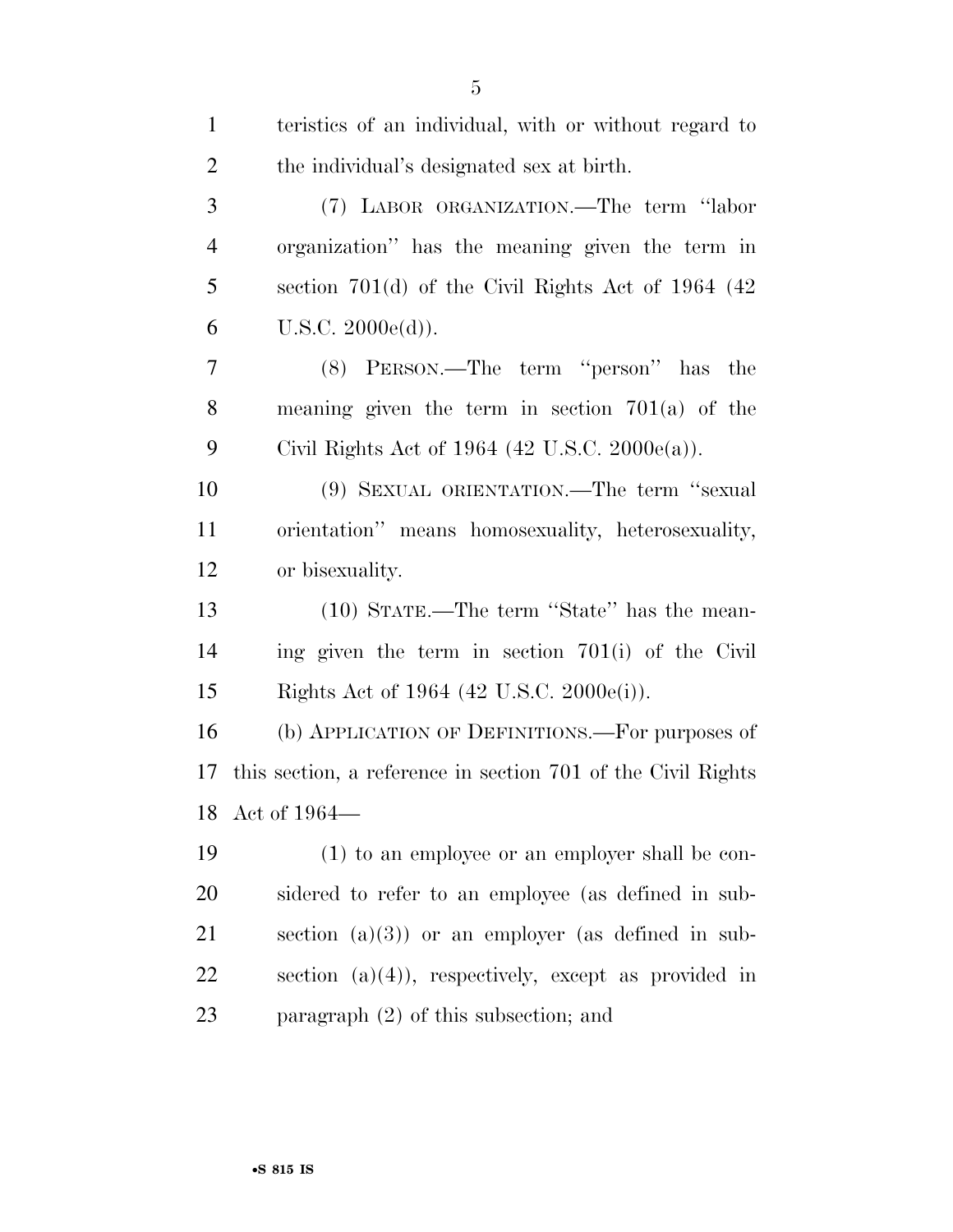| $\mathbf{1}$   | teristics of an individual, with or without regard to        |
|----------------|--------------------------------------------------------------|
| $\overline{2}$ | the individual's designated sex at birth.                    |
| 3              | (7) LABOR ORGANIZATION.—The term "labor                      |
| $\overline{4}$ | organization" has the meaning given the term in              |
| 5              | section $701(d)$ of the Civil Rights Act of 1964 (42)        |
| 6              | U.S.C. 2000e(d)).                                            |
| 7              | (8) PERSON.—The term "person" has the                        |
| 8              | meaning given the term in section $701(a)$ of the            |
| 9              | Civil Rights Act of 1964 (42 U.S.C. 2000 $e(a)$ ).           |
| 10             | (9) SEXUAL ORIENTATION.—The term "sexual                     |
| 11             | orientation" means homosexuality, heterosexuality,           |
| 12             | or bisexuality.                                              |
| 13             | (10) STATE.—The term "State" has the mean-                   |
| 14             | ing given the term in section 701(i) of the Civil            |
| 15             | Rights Act of 1964 (42 U.S.C. 2000e(i)).                     |
| 16             | (b) APPLICATION OF DEFINITIONS.—For purposes of              |
| 17             | this section, a reference in section 701 of the Civil Rights |
|                | 18 Act of 1964-                                              |
| 19             | (1) to an employee or an employer shall be con-              |
| 20             | sidered to refer to an employee (as defined in sub-          |
| 21             | section $(a)(3)$ or an employer (as defined in sub-          |
| 22             | section $(a)(4)$ , respectively, except as provided in       |
| 23             | paragraph $(2)$ of this subsection; and                      |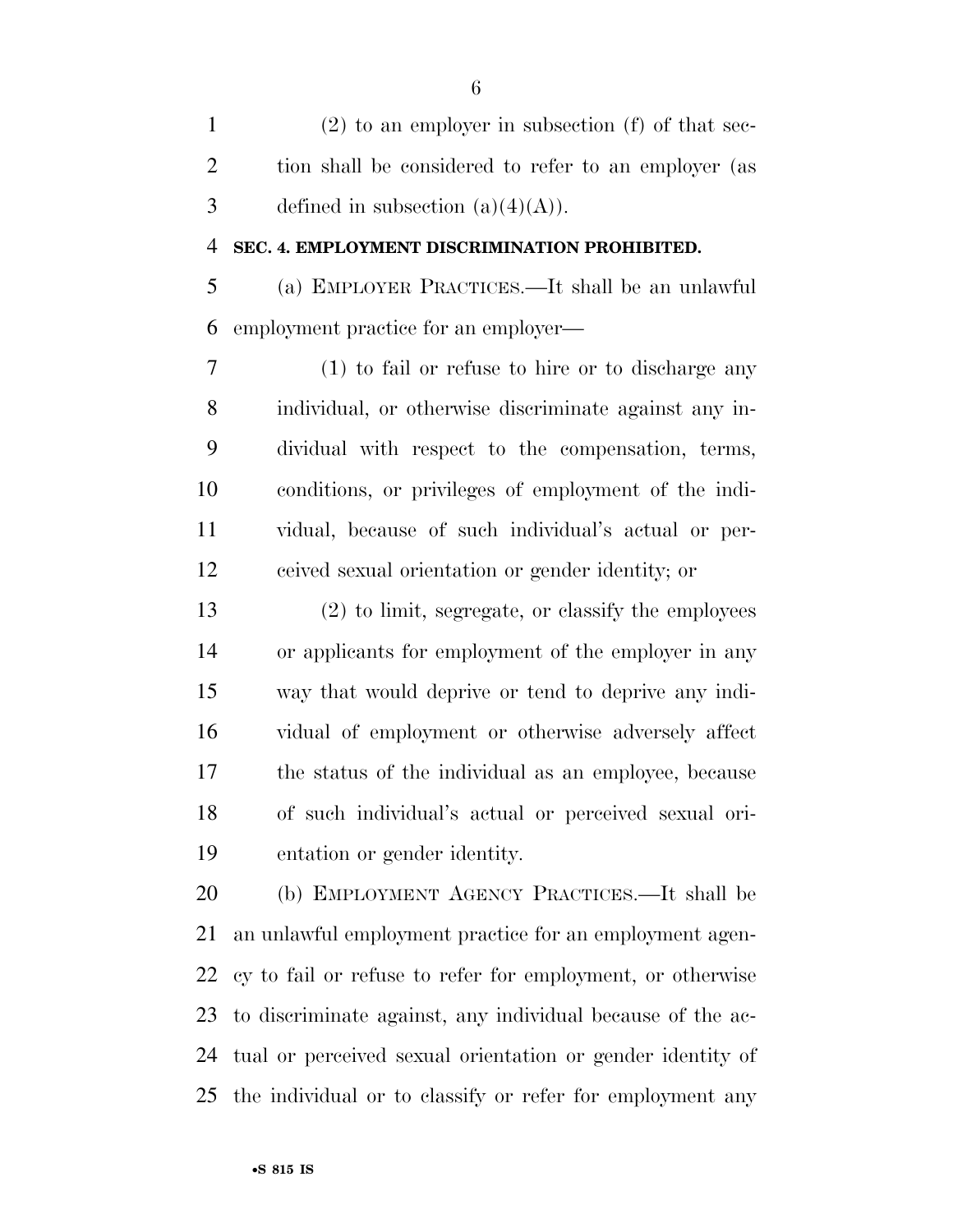(2) to an employer in subsection (f) of that sec- tion shall be considered to refer to an employer (as 3 defined in subsection  $(a)(4)(A)$ .

#### **SEC. 4. EMPLOYMENT DISCRIMINATION PROHIBITED.**

 (a) EMPLOYER PRACTICES.—It shall be an unlawful employment practice for an employer—

 (1) to fail or refuse to hire or to discharge any individual, or otherwise discriminate against any in- dividual with respect to the compensation, terms, conditions, or privileges of employment of the indi- vidual, because of such individual's actual or per-ceived sexual orientation or gender identity; or

 (2) to limit, segregate, or classify the employees or applicants for employment of the employer in any way that would deprive or tend to deprive any indi- vidual of employment or otherwise adversely affect the status of the individual as an employee, because of such individual's actual or perceived sexual ori-entation or gender identity.

 (b) EMPLOYMENT AGENCY PRACTICES.—It shall be an unlawful employment practice for an employment agen- cy to fail or refuse to refer for employment, or otherwise to discriminate against, any individual because of the ac- tual or perceived sexual orientation or gender identity of the individual or to classify or refer for employment any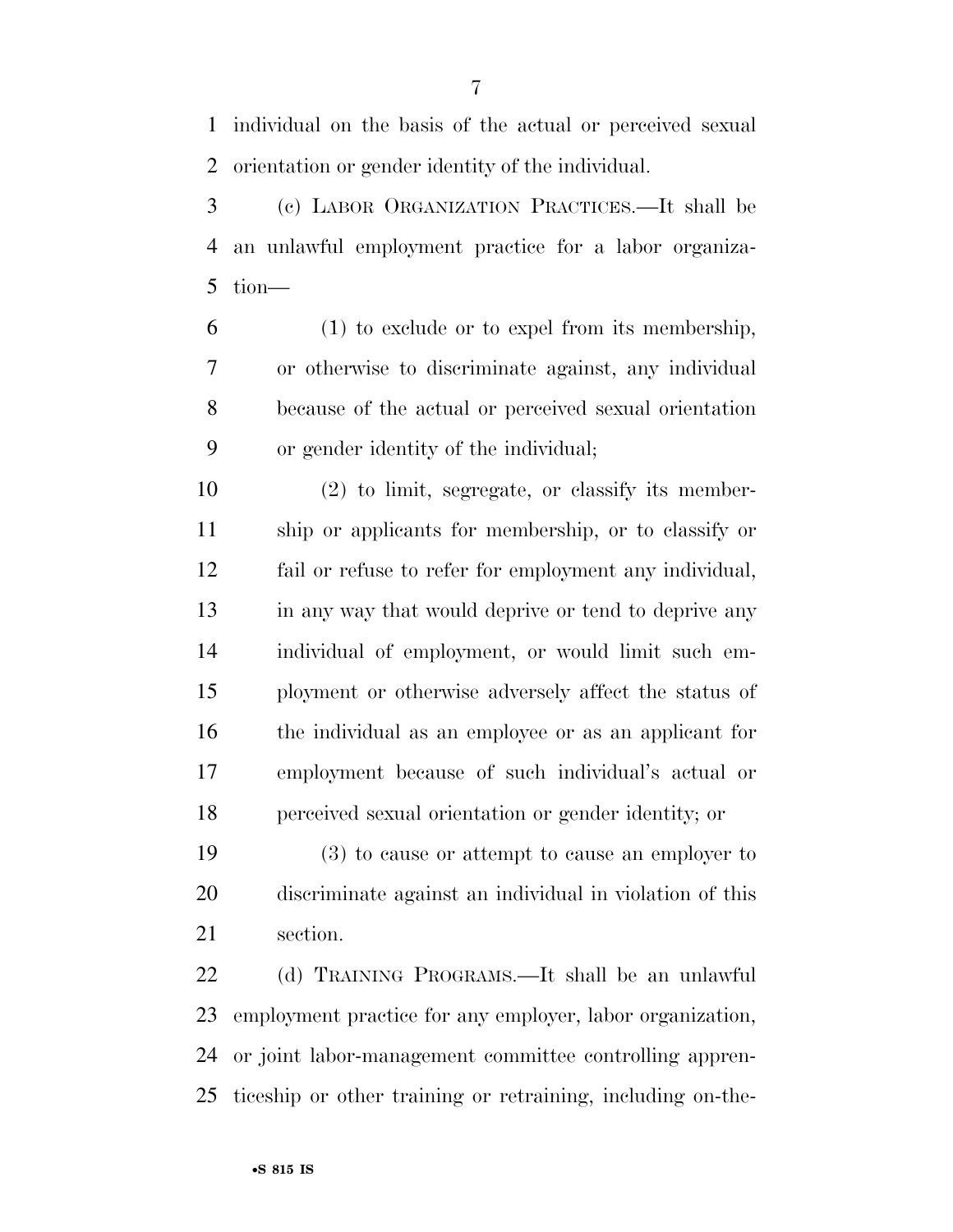individual on the basis of the actual or perceived sexual orientation or gender identity of the individual.

 (c) LABOR ORGANIZATION PRACTICES.—It shall be an unlawful employment practice for a labor organiza-tion—

 (1) to exclude or to expel from its membership, or otherwise to discriminate against, any individual because of the actual or perceived sexual orientation or gender identity of the individual;

 (2) to limit, segregate, or classify its member- ship or applicants for membership, or to classify or fail or refuse to refer for employment any individual, 13 in any way that would deprive or tend to deprive any individual of employment, or would limit such em- ployment or otherwise adversely affect the status of the individual as an employee or as an applicant for employment because of such individual's actual or perceived sexual orientation or gender identity; or

 (3) to cause or attempt to cause an employer to discriminate against an individual in violation of this section.

 (d) TRAINING PROGRAMS.—It shall be an unlawful employment practice for any employer, labor organization, or joint labor-management committee controlling appren-ticeship or other training or retraining, including on-the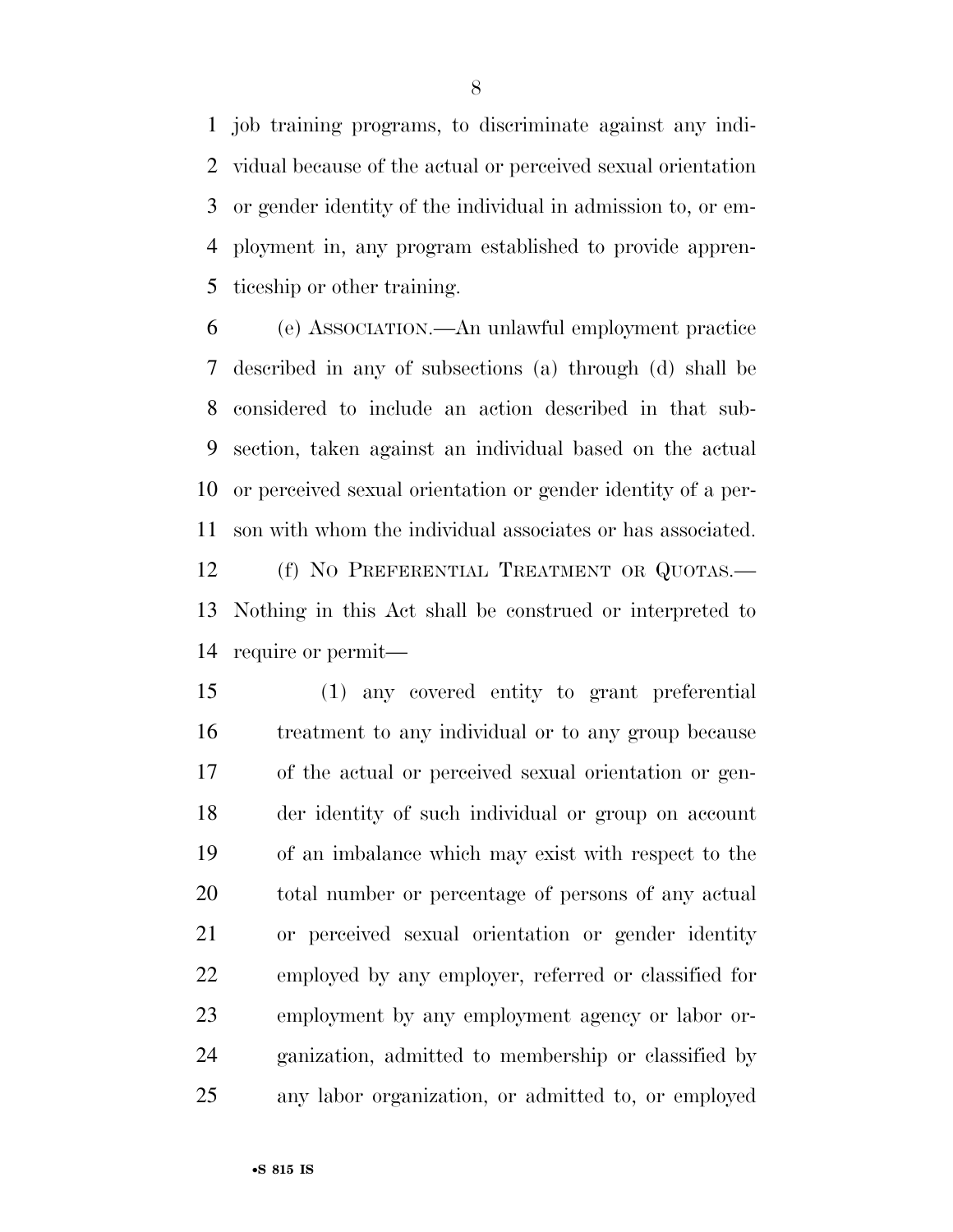job training programs, to discriminate against any indi- vidual because of the actual or perceived sexual orientation or gender identity of the individual in admission to, or em- ployment in, any program established to provide appren-ticeship or other training.

 (e) ASSOCIATION.—An unlawful employment practice described in any of subsections (a) through (d) shall be considered to include an action described in that sub- section, taken against an individual based on the actual or perceived sexual orientation or gender identity of a per- son with whom the individual associates or has associated. 12 (f) NO PREFERENTIAL TREATMENT OR QUOTAS.— Nothing in this Act shall be construed or interpreted to require or permit—

 (1) any covered entity to grant preferential treatment to any individual or to any group because of the actual or perceived sexual orientation or gen- der identity of such individual or group on account of an imbalance which may exist with respect to the total number or percentage of persons of any actual or perceived sexual orientation or gender identity employed by any employer, referred or classified for employment by any employment agency or labor or- ganization, admitted to membership or classified by any labor organization, or admitted to, or employed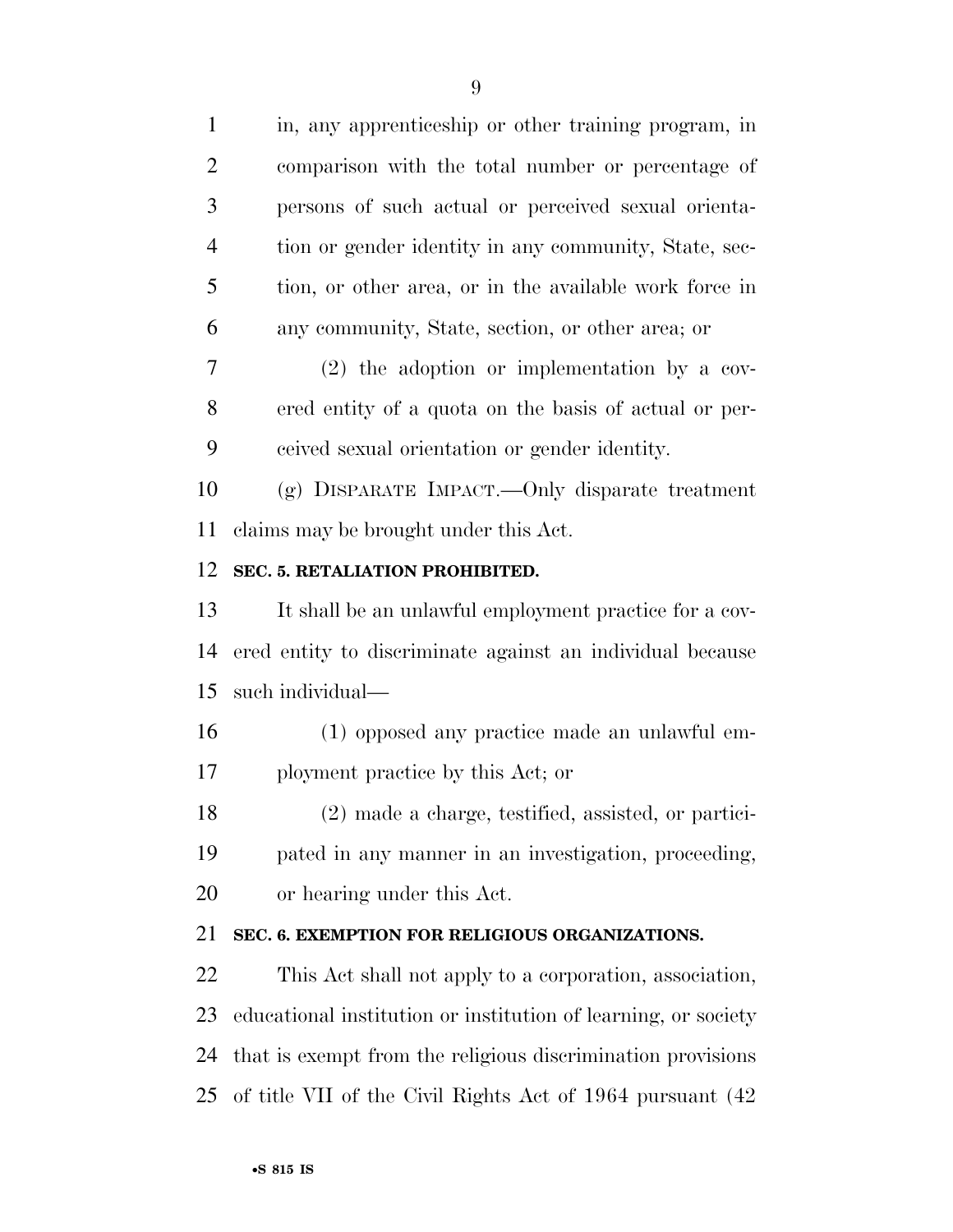in, any apprenticeship or other training program, in comparison with the total number or percentage of persons of such actual or perceived sexual orienta- tion or gender identity in any community, State, sec- tion, or other area, or in the available work force in any community, State, section, or other area; or (2) the adoption or implementation by a cov- ered entity of a quota on the basis of actual or per- ceived sexual orientation or gender identity. (g) DISPARATE IMPACT.—Only disparate treatment claims may be brought under this Act. **SEC. 5. RETALIATION PROHIBITED.**  It shall be an unlawful employment practice for a cov- ered entity to discriminate against an individual because such individual—

 (1) opposed any practice made an unlawful em-ployment practice by this Act; or

 (2) made a charge, testified, assisted, or partici- pated in any manner in an investigation, proceeding, or hearing under this Act.

# **SEC. 6. EXEMPTION FOR RELIGIOUS ORGANIZATIONS.**

 This Act shall not apply to a corporation, association, educational institution or institution of learning, or society that is exempt from the religious discrimination provisions of title VII of the Civil Rights Act of 1964 pursuant (42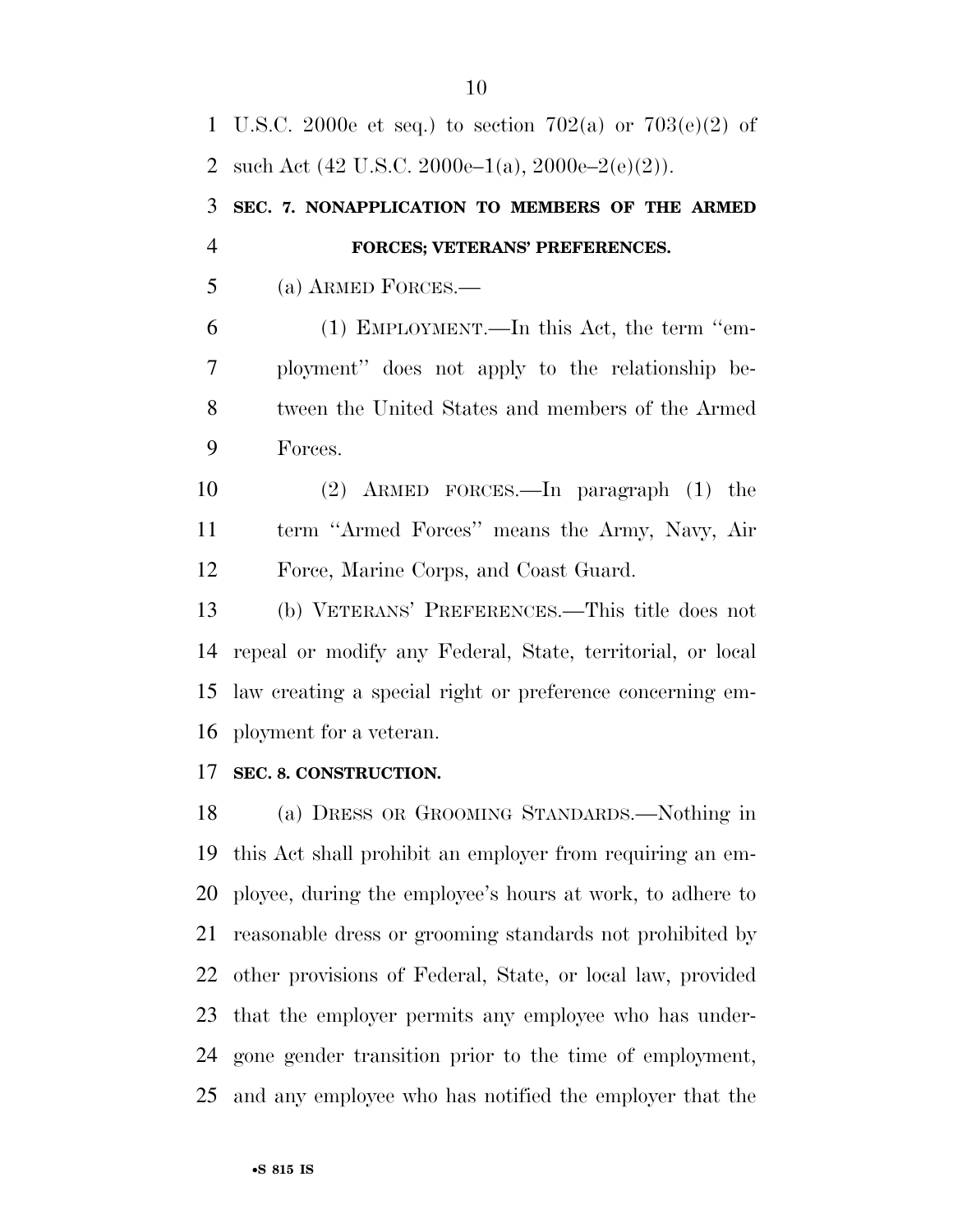U.S.C. 2000e et seq.) to section 702(a) or 703(e)(2) of 2 such Act  $(42 \text{ U.S.C. } 2000\text{e} - 1(a), 2000\text{e} - 2(\text{e})(2)).$  **SEC. 7. NONAPPLICATION TO MEMBERS OF THE ARMED FORCES; VETERANS' PREFERENCES.**  (a) ARMED FORCES.— (1) EMPLOYMENT.—In this Act, the term ''em- ployment'' does not apply to the relationship be- tween the United States and members of the Armed Forces. (2) ARMED FORCES.—In paragraph (1) the term ''Armed Forces'' means the Army, Navy, Air Force, Marine Corps, and Coast Guard. (b) VETERANS' PREFERENCES.—This title does not repeal or modify any Federal, State, territorial, or local law creating a special right or preference concerning em- ployment for a veteran. **SEC. 8. CONSTRUCTION.**  (a) DRESS OR GROOMING STANDARDS.—Nothing in

 this Act shall prohibit an employer from requiring an em- ployee, during the employee's hours at work, to adhere to reasonable dress or grooming standards not prohibited by other provisions of Federal, State, or local law, provided that the employer permits any employee who has under- gone gender transition prior to the time of employment, and any employee who has notified the employer that the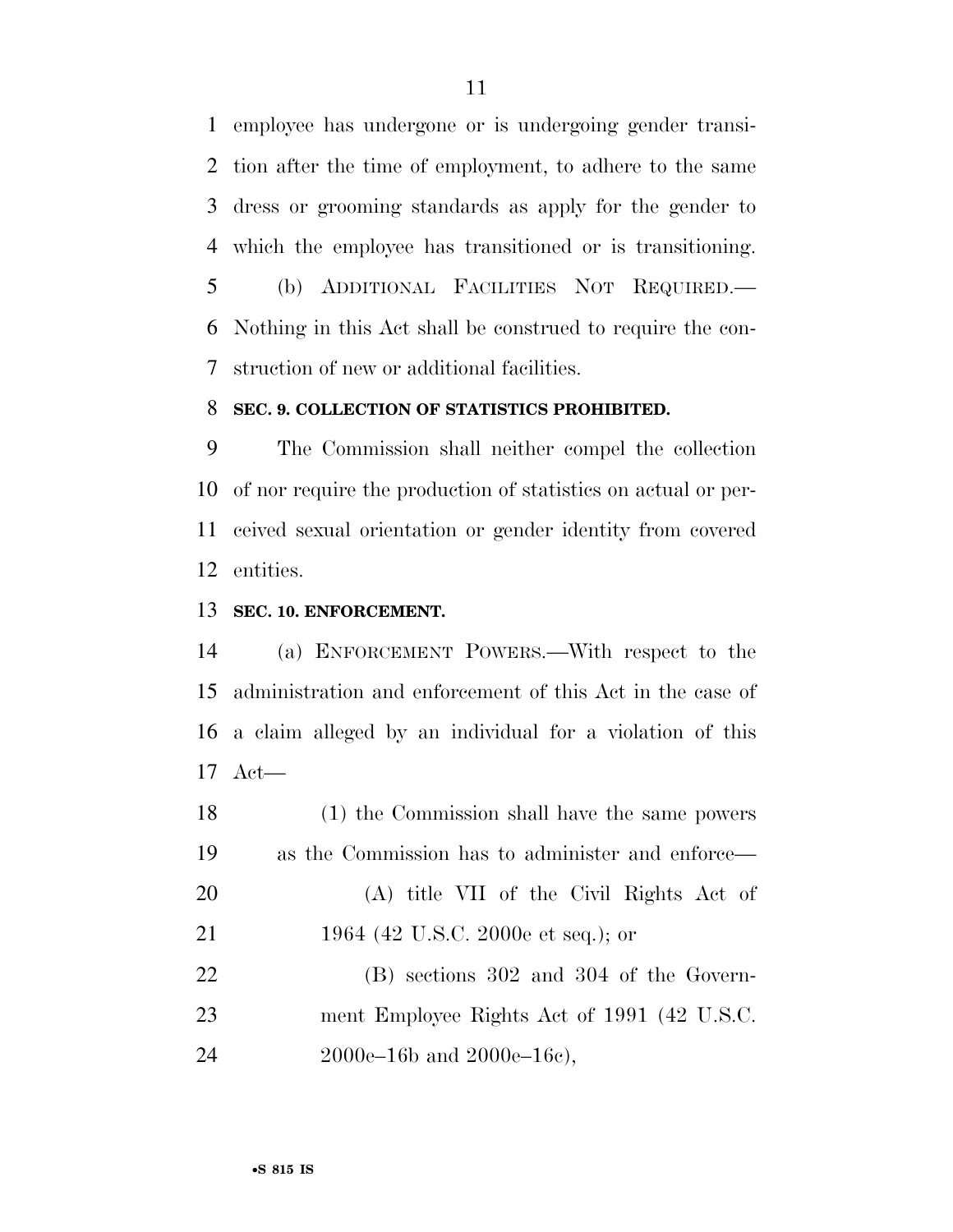employee has undergone or is undergoing gender transi- tion after the time of employment, to adhere to the same dress or grooming standards as apply for the gender to which the employee has transitioned or is transitioning. (b) ADDITIONAL FACILITIES NOT REQUIRED.—

 Nothing in this Act shall be construed to require the con-struction of new or additional facilities.

#### **SEC. 9. COLLECTION OF STATISTICS PROHIBITED.**

 The Commission shall neither compel the collection of nor require the production of statistics on actual or per- ceived sexual orientation or gender identity from covered entities.

# **SEC. 10. ENFORCEMENT.**

 (a) ENFORCEMENT POWERS.—With respect to the administration and enforcement of this Act in the case of a claim alleged by an individual for a violation of this Act—

 (1) the Commission shall have the same powers as the Commission has to administer and enforce— (A) title VII of the Civil Rights Act of 1964 (42 U.S.C. 2000e et seq.); or (B) sections 302 and 304 of the Govern- ment Employee Rights Act of 1991 (42 U.S.C. 2000e–16b and 2000e–16c),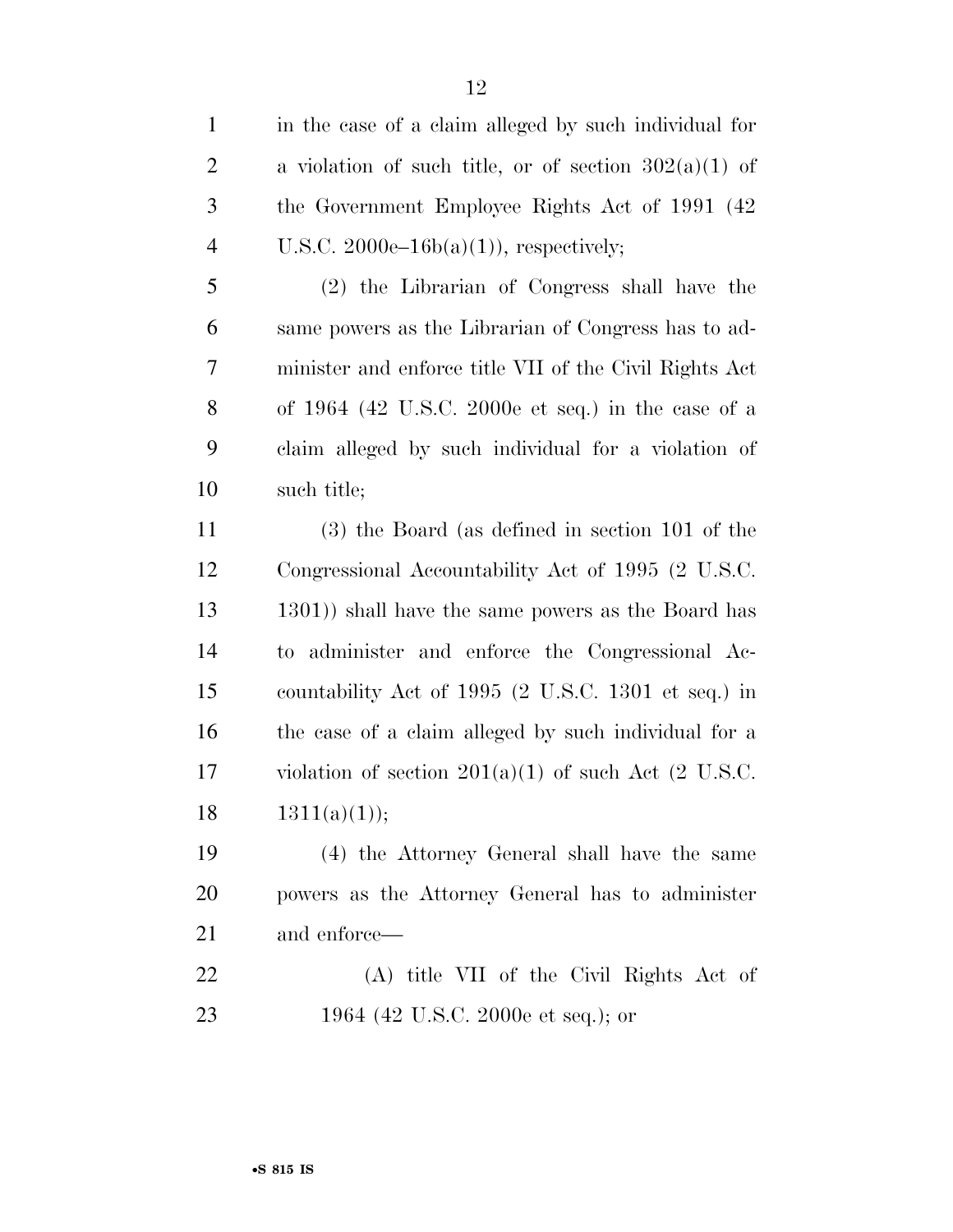in the case of a claim alleged by such individual for 2 a violation of such title, or of section  $302(a)(1)$  of the Government Employee Rights Act of 1991 (42 4 U.S.C.  $2000e-16b(a)(1)$ , respectively; (2) the Librarian of Congress shall have the same powers as the Librarian of Congress has to ad- minister and enforce title VII of the Civil Rights Act of 1964 (42 U.S.C. 2000e et seq.) in the case of a claim alleged by such individual for a violation of such title; (3) the Board (as defined in section 101 of the Congressional Accountability Act of 1995 (2 U.S.C. 1301)) shall have the same powers as the Board has to administer and enforce the Congressional Ac- countability Act of 1995 (2 U.S.C. 1301 et seq.) in the case of a claim alleged by such individual for a 17 violation of section  $201(a)(1)$  of such Act  $(2 \text{ U.S.C.})$  $1311(a)(1));$  (4) the Attorney General shall have the same powers as the Attorney General has to administer and enforce— (A) title VII of the Civil Rights Act of 1964 (42 U.S.C. 2000e et seq.); or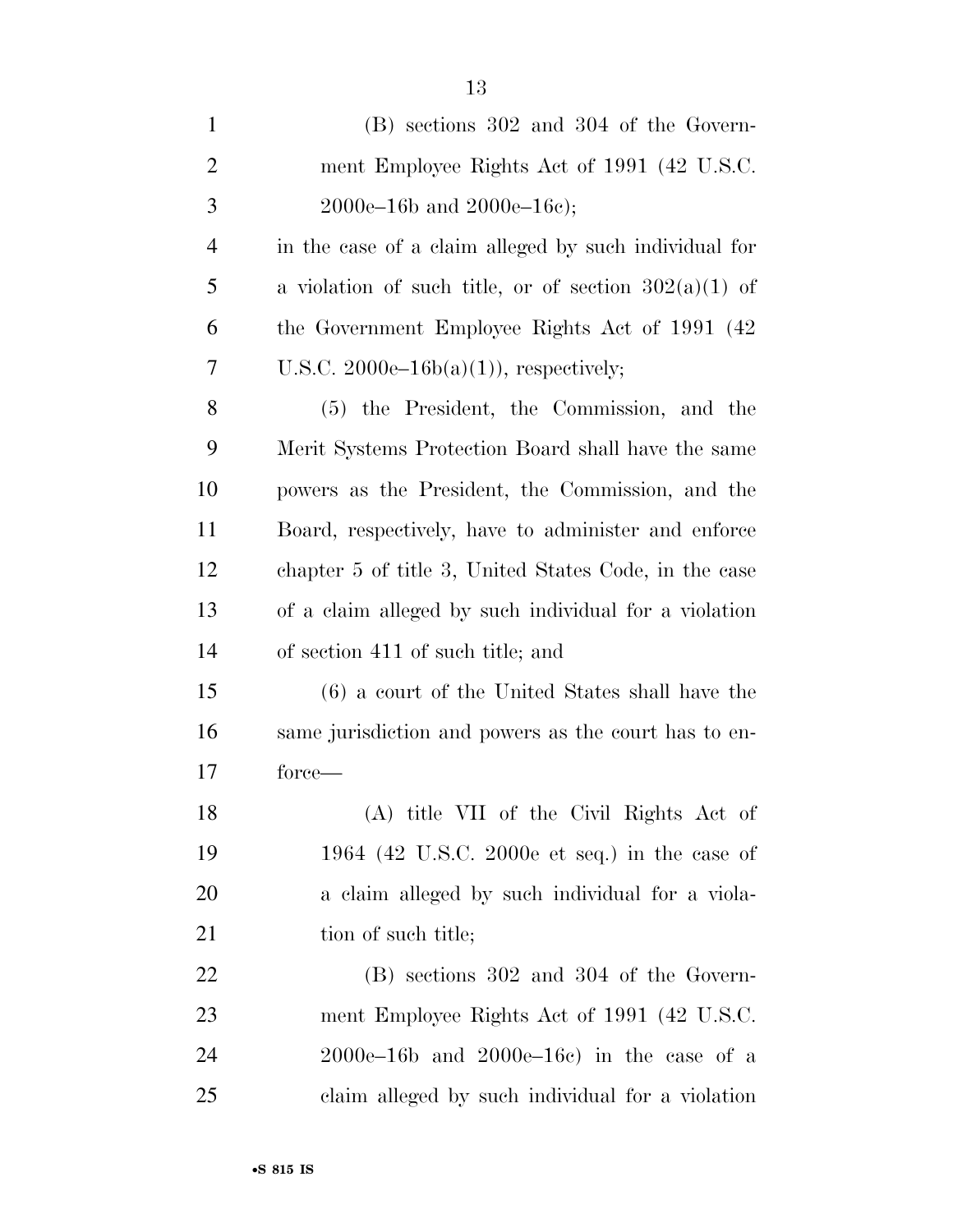| $\mathbf{1}$   | (B) sections 302 and 304 of the Govern-                 |
|----------------|---------------------------------------------------------|
| $\overline{2}$ | ment Employee Rights Act of 1991 (42 U.S.C.             |
| 3              | $2000e-16b$ and $2000e-16c$ ;                           |
| $\overline{4}$ | in the case of a claim alleged by such individual for   |
| 5              | a violation of such title, or of section $302(a)(1)$ of |
| 6              | the Government Employee Rights Act of 1991 (42)         |
| 7              | U.S.C. 2000e–16b(a)(1)), respectively;                  |
| 8              | (5) the President, the Commission, and the              |
| 9              | Merit Systems Protection Board shall have the same      |
| 10             | powers as the President, the Commission, and the        |
| 11             | Board, respectively, have to administer and enforce     |
| 12             | chapter 5 of title 3, United States Code, in the case   |
| 13             | of a claim alleged by such individual for a violation   |
| 14             | of section 411 of such title; and                       |
| 15             | (6) a court of the United States shall have the         |
| 16             | same jurisdiction and powers as the court has to en-    |
| 17             | force—                                                  |
| 18             | (A) title VII of the Civil Rights Act of                |
| 19             | 1964 (42 U.S.C. 2000e et seq.) in the case of           |
| 20             | a claim alleged by such individual for a viola-         |
| 21             | tion of such title;                                     |
| 22             | $(B)$ sections 302 and 304 of the Govern-               |
| 23             | ment Employee Rights Act of 1991 (42 U.S.C.             |
| 24             | $2000e-16b$ and $2000e-16c$ in the case of a            |
| 25             | claim alleged by such individual for a violation        |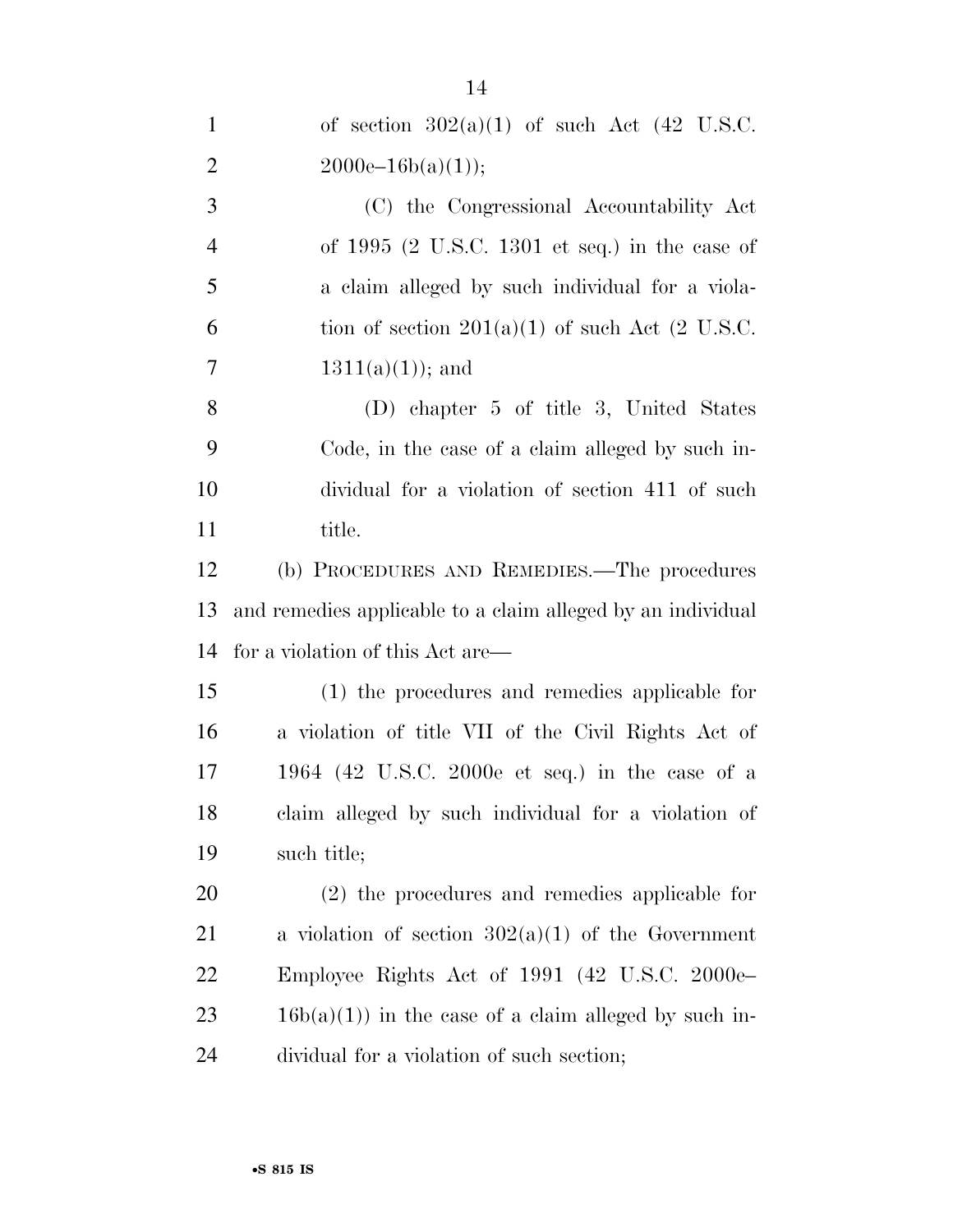| $\mathbf{1}$   | of section $302(a)(1)$ of such Act (42 U.S.C.               |
|----------------|-------------------------------------------------------------|
| $\overline{2}$ | $2000e-16b(a)(1));$                                         |
| 3              | (C) the Congressional Accountability Act                    |
| $\overline{4}$ | of $1995$ (2 U.S.C. 1301 et seq.) in the case of            |
| 5              | a claim alleged by such individual for a viola-             |
| 6              | tion of section $201(a)(1)$ of such Act (2 U.S.C.           |
| 7              | $1311(a)(1)$ ; and                                          |
| 8              | (D) chapter 5 of title 3, United States                     |
| 9              | Code, in the case of a claim alleged by such in-            |
| 10             | dividual for a violation of section 411 of such             |
| 11             | title.                                                      |
| 12             | (b) PROCEDURES AND REMEDIES.—The procedures                 |
| 13             | and remedies applicable to a claim alleged by an individual |
| 14             | for a violation of this Act are—                            |
| 15             | (1) the procedures and remedies applicable for              |
| 16             | a violation of title VII of the Civil Rights Act of         |
| 17             | 1964 (42 U.S.C. 2000e et seq.) in the case of a             |
| 18             | claim alleged by such individual for a violation of         |
| 19             | such title;                                                 |
| 20             | $(2)$ the procedures and remedies applicable for            |
| 21             | a violation of section $302(a)(1)$ of the Government        |
| 22             | Employee Rights Act of 1991 (42 U.S.C. 2000e                |
| 23             | $16b(a)(1)$ in the case of a claim alleged by such in-      |
| 24             | dividual for a violation of such section;                   |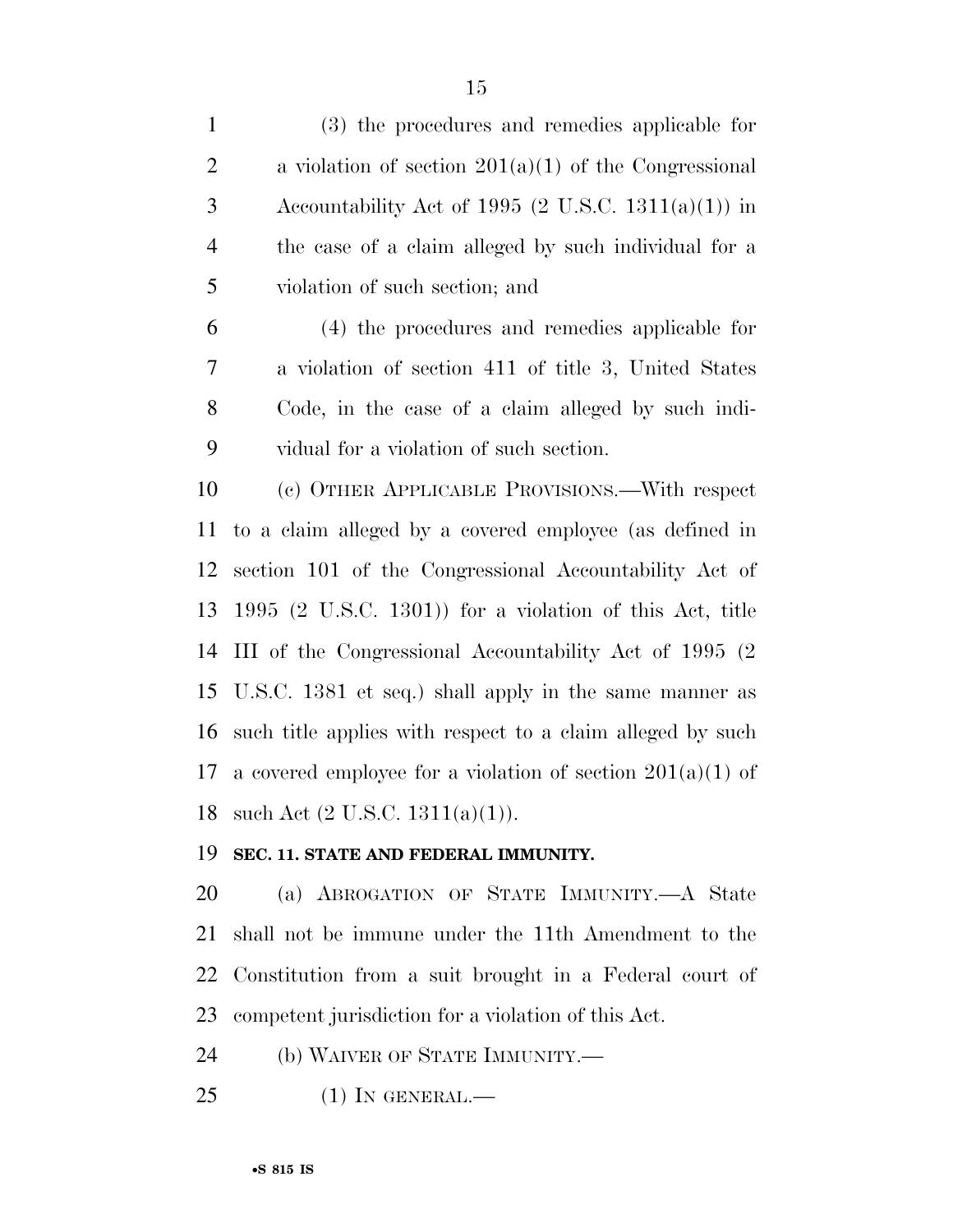| $\mathbf{1}$   | (3) the procedures and remedies applicable for                       |
|----------------|----------------------------------------------------------------------|
| $\overline{2}$ | a violation of section $201(a)(1)$ of the Congressional              |
| 3              | Accountability Act of 1995 (2 U.S.C. 1311(a)(1)) in                  |
| $\overline{4}$ | the case of a claim alleged by such individual for a                 |
| 5              | violation of such section; and                                       |
| 6              | (4) the procedures and remedies applicable for                       |
| 7              | a violation of section 411 of title 3, United States                 |
| 8              | Code, in the case of a claim alleged by such indi-                   |
| 9              | vidual for a violation of such section.                              |
| 10             | (c) OTHER APPLICABLE PROVISIONS.—With respect                        |
| 11             | to a claim alleged by a covered employee (as defined in              |
| 12             | section 101 of the Congressional Accountability Act of               |
| 13             | $1995$ $(2 \text{ U.S.C. } 1301)$ for a violation of this Act, title |
| 14             | III of the Congressional Accountability Act of 1995 (2)              |
| 15             | U.S.C. 1381 et seq.) shall apply in the same manner as               |
| 16             | such title applies with respect to a claim alleged by such           |
| 17             | a covered employee for a violation of section $201(a)(1)$ of         |
| 18             | such Act $(2 \text{ U.S.C. } 1311(a)(1)).$                           |
| 19             | SEC. 11. STATE AND FEDERAL IMMUNITY.                                 |
|                |                                                                      |

 (a) ABROGATION OF STATE IMMUNITY.—A State shall not be immune under the 11th Amendment to the Constitution from a suit brought in a Federal court of competent jurisdiction for a violation of this Act.

(b) WAIVER OF STATE IMMUNITY.—

(1) IN GENERAL.—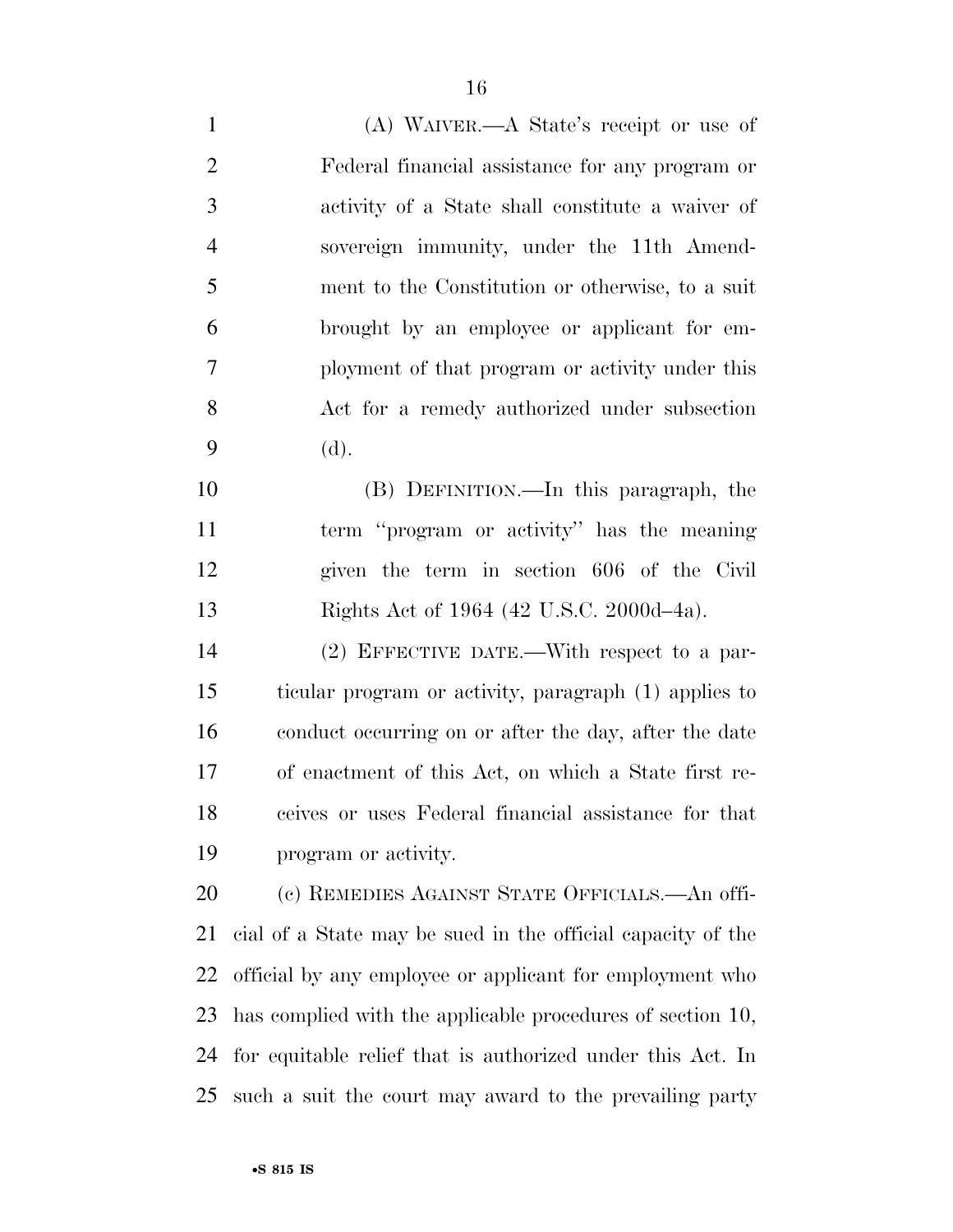(A) WAIVER.—A State's receipt or use of Federal financial assistance for any program or activity of a State shall constitute a waiver of sovereign immunity, under the 11th Amend- ment to the Constitution or otherwise, to a suit brought by an employee or applicant for em- ployment of that program or activity under this Act for a remedy authorized under subsection (d).

 (B) DEFINITION.—In this paragraph, the term ''program or activity'' has the meaning given the term in section 606 of the Civil Rights Act of 1964 (42 U.S.C. 2000d–4a).

 (2) EFFECTIVE DATE.—With respect to a par- ticular program or activity, paragraph (1) applies to conduct occurring on or after the day, after the date of enactment of this Act, on which a State first re- ceives or uses Federal financial assistance for that program or activity.

 (c) REMEDIES AGAINST STATE OFFICIALS.—An offi- cial of a State may be sued in the official capacity of the official by any employee or applicant for employment who has complied with the applicable procedures of section 10, for equitable relief that is authorized under this Act. In such a suit the court may award to the prevailing party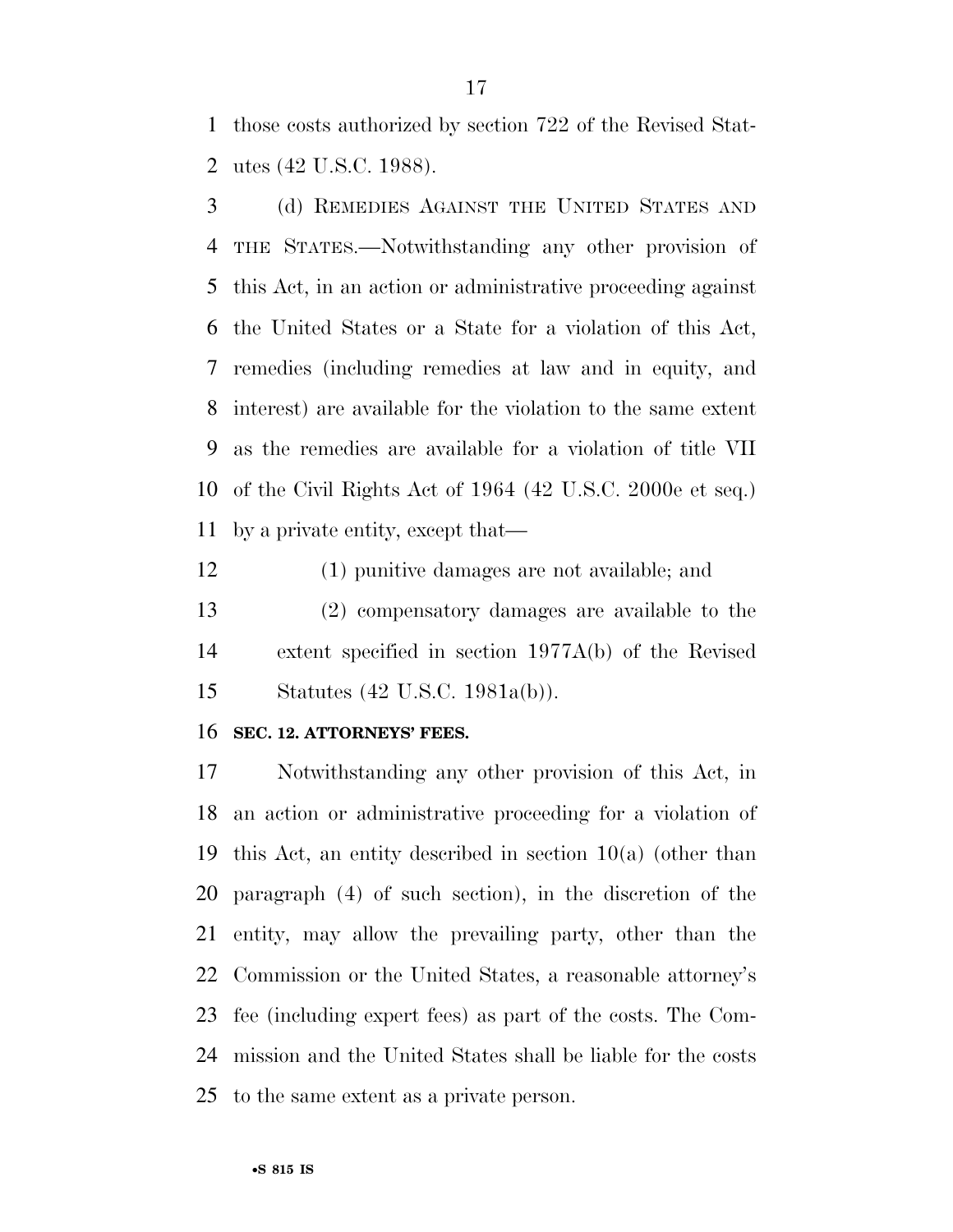those costs authorized by section 722 of the Revised Stat-utes (42 U.S.C. 1988).

 (d) REMEDIES AGAINST THE UNITED STATES AND THE STATES.—Notwithstanding any other provision of this Act, in an action or administrative proceeding against the United States or a State for a violation of this Act, remedies (including remedies at law and in equity, and interest) are available for the violation to the same extent as the remedies are available for a violation of title VII of the Civil Rights Act of 1964 (42 U.S.C. 2000e et seq.) by a private entity, except that—

 (1) punitive damages are not available; and (2) compensatory damages are available to the extent specified in section 1977A(b) of the Revised Statutes (42 U.S.C. 1981a(b)).

#### **SEC. 12. ATTORNEYS' FEES.**

 Notwithstanding any other provision of this Act, in an action or administrative proceeding for a violation of this Act, an entity described in section 10(a) (other than paragraph (4) of such section), in the discretion of the entity, may allow the prevailing party, other than the Commission or the United States, a reasonable attorney's fee (including expert fees) as part of the costs. The Com- mission and the United States shall be liable for the costs to the same extent as a private person.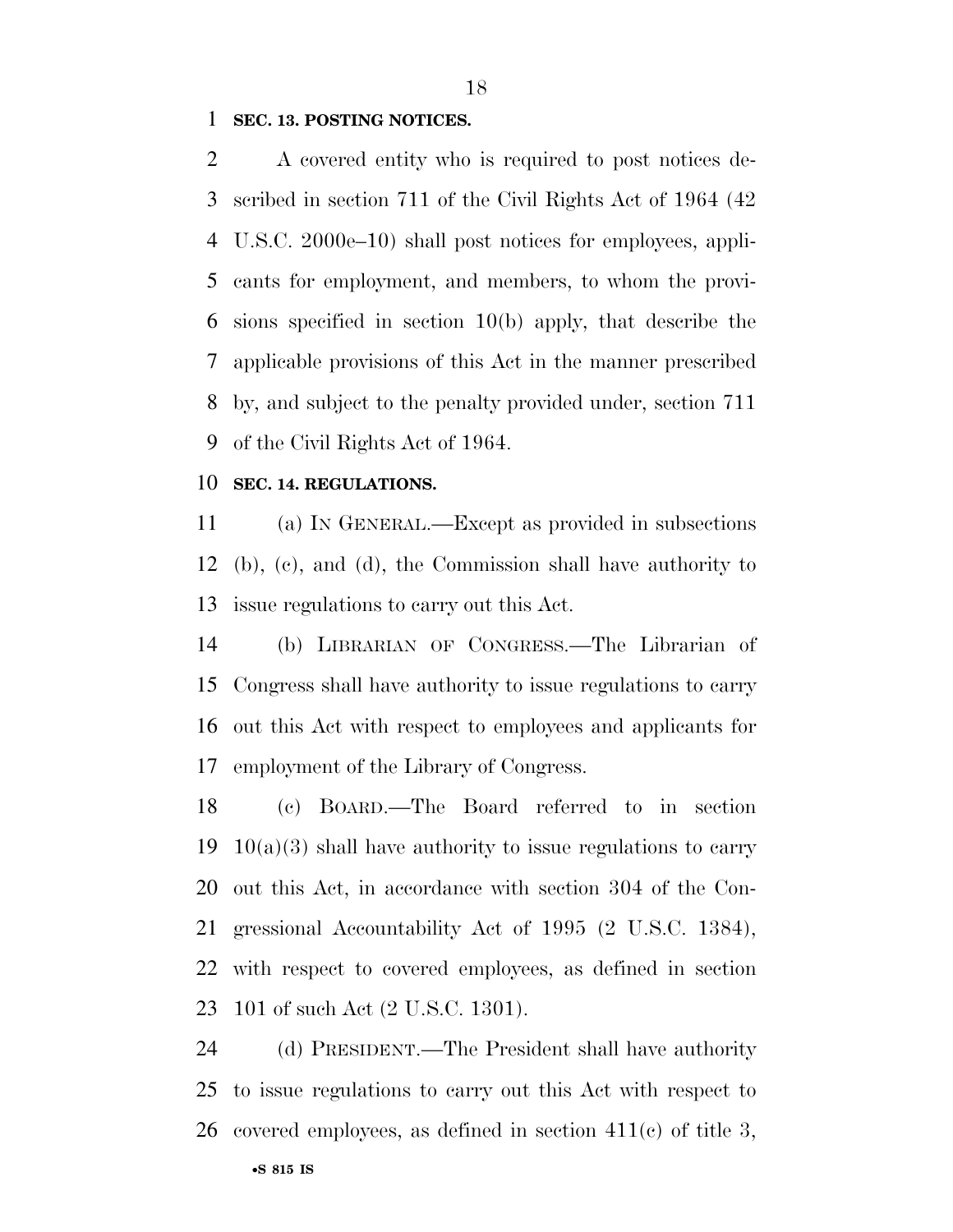#### **SEC. 13. POSTING NOTICES.**

 A covered entity who is required to post notices de- scribed in section 711 of the Civil Rights Act of 1964 (42 U.S.C. 2000e–10) shall post notices for employees, appli- cants for employment, and members, to whom the provi- sions specified in section 10(b) apply, that describe the applicable provisions of this Act in the manner prescribed by, and subject to the penalty provided under, section 711 of the Civil Rights Act of 1964.

#### **SEC. 14. REGULATIONS.**

 (a) IN GENERAL.—Except as provided in subsections (b), (c), and (d), the Commission shall have authority to issue regulations to carry out this Act.

 (b) LIBRARIAN OF CONGRESS.—The Librarian of Congress shall have authority to issue regulations to carry out this Act with respect to employees and applicants for employment of the Library of Congress.

 (c) BOARD.—The Board referred to in section 19 10(a)(3) shall have authority to issue regulations to carry out this Act, in accordance with section 304 of the Con- gressional Accountability Act of 1995 (2 U.S.C. 1384), with respect to covered employees, as defined in section 101 of such Act (2 U.S.C. 1301).

 (d) PRESIDENT.—The President shall have authority to issue regulations to carry out this Act with respect to covered employees, as defined in section 411(c) of title 3,